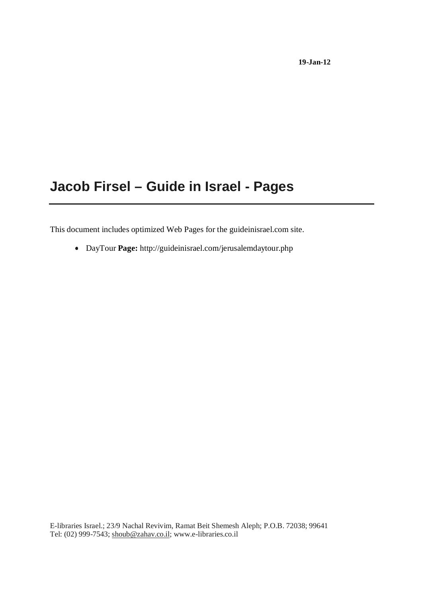## **Jacob Firsel – Guide in Israel - Pages**

This document includes optimized Web Pages for the guideinisrael.com site.

DayTour **Page:** http://guideinisrael.com/jerusalemdaytour.php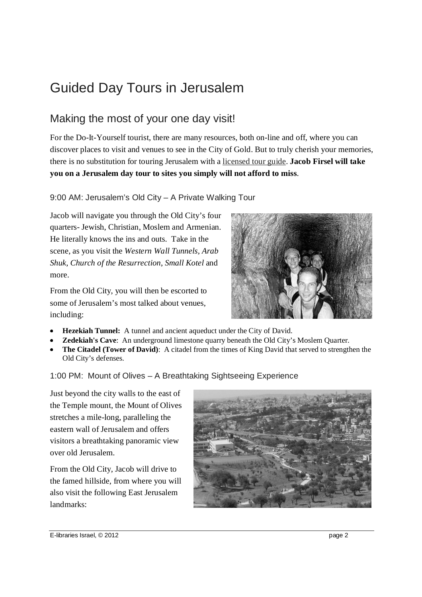# Guided Day Tours in Jerusalem

### Making the most of your one day visit!

For the Do-It-Yourself tourist, there are many resources, both on-line and off, where you can discover places to visit and venues to see in the City of Gold. But to truly cherish your memories, there is no substitution for touring Jerusalem with a licensed tour guide. **Jacob Firsel will take you on a Jerusalem day tour to sites you simply will not afford to miss**.

### 9:00 AM: Jerusalem's Old City – A Private Walking Tour

Jacob will navigate you through the Old City's four quarters- Jewish, Christian, Moslem and Armenian. He literally knows the ins and outs. Take in the scene, as you visit the *Western Wall Tunnels, Arab Shuk*, *Church of the Resurrection*, *Small Kotel* and more.

From the Old City, you will then be escorted to some of Jerusalem's most talked about venues, including:



- 
- **Hezekiah Tunnel:** A tunnel and ancient aqueduct under the City of David.<br>**Zedekiah's Cave**: An underground limestone quarry beneath the Old City's Moslem Ouarter.
- **Zedekiah's Cave**: An underground limestone quarry beneath the Old City's Moslem Quarter.<br> **The Citadel (Tower of David)**: A citadel from the times of King David that served to strength • **The Citadel (Tower of David)**: A citadel from the times of King David that served to strengthen the Old City's defenses. Old City's defenses.

#### 1:00 PM: Mount of Olives – A Breathtaking Sightseeing Experience

Just beyond the city walls to the east of the Temple mount, the Mount of Olives stretches a mile-long, paralleling the eastern wall of Jerusalem and offers visitors a breathtaking panoramic view over old Jerusalem.

From the Old City, Jacob will drive to the famed hillside, from where you will also visit the following East Jerusalem landmarks: